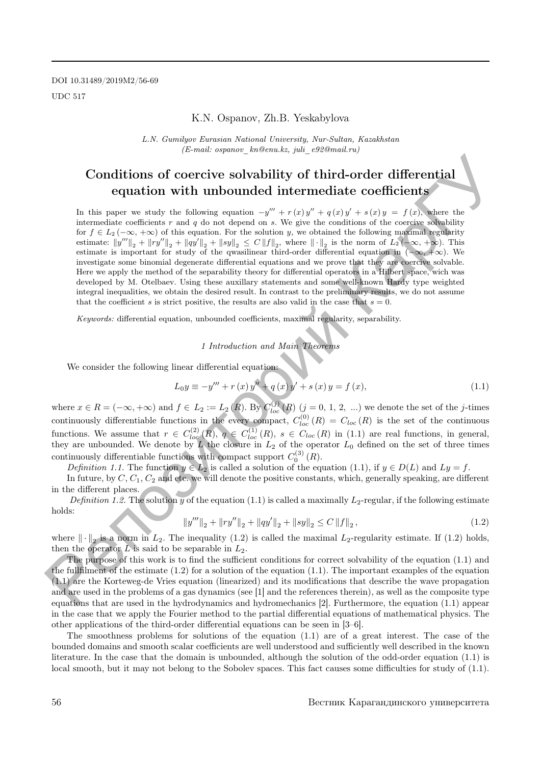DOI 10.31489/2019M2/56-69 UDC 517

## K.N. Ospanov, Zh.B. Yeskabylova

L.N. Gumilyov Eurasian National University, Nur-Sultan, Kazakhstan (E-mail: ospanov\_kn@enu.kz, juli\_e92@mail.ru)

# Conditions of coercive solvability of third-order differential equation with unbounded intermediate coefficients

In this paper we study the following equation  $-y''' + r(x)y'' + q(x)y' + s(x)y = f(x)$ , where the intermediate coefficients  $r$  and  $q$  do not depend on s. We give the conditions of the coercive solvability for  $f \in L_2(-\infty, +\infty)$  of this equation. For the solution y, we obtained the following maximal regularity estimate:  $||y'''||_2 + ||ry''||_2 + ||qy||_2 + ||sy||_2 \leq C ||f||_2$ , where  $|| \cdot ||_2$  is the norm of  $L_2(-\infty, +\infty)$ . This estimate is important for study of the qwasilinear third-order differential equation in  $(-\infty, +\infty)$ . We investigate some binomial degenerate differential equations and we prove that they are coercive solvable. Here we apply the method of the separability theory for differential operators in a Hilbert space, wich was developed by M. Otelbaev. Using these auxillary statements and some well-known Hardy type weighted integral inequalities, we obtain the desired result. In contrast to the preliminary results, we do not assume that the coefficient s is strict positive, the results are also valid in the case that  $s = 0$ . Conditions of coercive solvability of third-order differential<br>
a equation with unbounded intermediate coefficients<br>
In this mass was the following equation  $-\eta^{\mu} \times r(\phi)^{\mu} + s(\phi) + s(\phi)$ , where the intermediate of the state

Keywords: differential equation, unbounded coefficients, maximal regularity, separability.

1 Introduction and Main Theorems

We consider the following linear differential equation:

$$
L_0 y \equiv -y''' + r(x)y'' + q(x)y' + s(x)y = f(x),
$$
\n(1.1)

where  $x \in R = (-\infty, +\infty)$  and  $f \in L_2 := L_2(R)$ . By  $C_{loc}^{(j)}(R)$   $(j = 0, 1, 2, ...)$  we denote the set of the j-times continuously differentiable functions in the every compact,  $C^{(0)}_{loc}(R) = C_{loc}(R)$  is the set of the continuous functions. We assume that  $r \in C_{loc}^{(2)}(R), q \in C_{loc}^{(1)}(R), s \in C_{loc}(R)$  in (1.1) are real functions, in general, they are unbounded. We denote by L the closure in  $L_2$  of the operator  $L_0$  defined on the set of three times continuously differentiable functions with compact support  $C_0^{(3)}(R)$ .

Definition 1.1. The function  $y \in L_2$  is called a solution of the equation (1.1), if  $y \in D(L)$  and  $Ly = f$ .

In future, by  $C, C_1, C_2$  and etc. we will denote the positive constants, which, generally speaking, are different in the different places.

Definition 1.2. The solution y of the equation (1.1) is called a maximally  $L_2$ -regular, if the following estimate holds:

$$
||y'''||_2 + ||ry''||_2 + ||qy'||_2 + ||sy||_2 \le C ||f||_2,
$$
\n(1.2)

where  $\|\cdot\|_2$  is a norm in  $L_2$ . The inequality (1.2) is called the maximal  $L_2$ -regularity estimate. If (1.2) holds, then the operator  $L$  is said to be separable in  $L_2$ .

The purpose of this work is to find the sufficient conditions for correct solvability of the equation (1.1) and the fullfilment of the estimate  $(1.2)$  for a solution of the equation  $(1.1)$ . The important examples of the equation (1.1) are the Korteweg-de Vries equation (linearized) and its modifications that describe the wave propagation and are used in the problems of a gas dynamics (see [1] and the references therein), as well as the composite type equations that are used in the hydrodynamics and hydromechanics [2]. Furthermore, the equation (1.1) appear in the case that we apply the Fourier method to the partial differential equations of mathematical physics. The other applications of the third-order differential equations can be seen in [3–6].

The smoothness problems for solutions of the equation (1.1) are of a great interest. The case of the bounded domains and smooth scalar coefficients are well understood and sufficiently well described in the known literature. In the case that the domain is unbounded, although the solution of the odd-order equation (1.1) is local smooth, but it may not belong to the Sobolev spaces. This fact causes some difficulties for study of (1.1).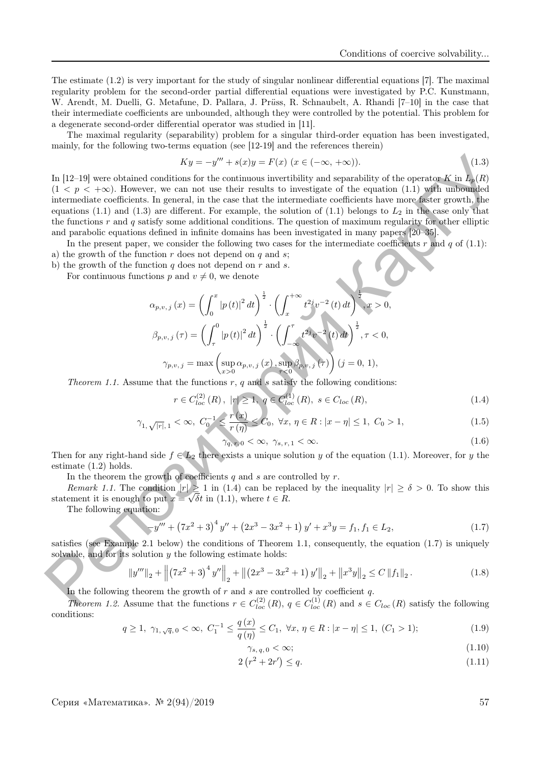The estimate (1.2) is very important for the study of singular nonlinear differential equations [7]. The maximal regularity problem for the second-order partial differential equations were investigated by P.C. Kunstmann, W. Arendt, M. Duelli, G. Metafune, D. Pallara, J. Prüss, R. Schnaubelt, A. Rhandi [7–10] in the case that their intermediate coefficients are unbounded, although they were controlled by the potential. This problem for a degenerate second-order differential operator was studied in [11].

The maximal regularity (separability) problem for a singular third-order equation has been investigated, mainly, for the following two-terms equation (see [12-19] and the references therein)

$$
Ky = -y''' + s(x)y = F(x) \ (x \in (-\infty, +\infty)).
$$
\n(1.3)

In [12–19] were obtained conditions for the continuous invertibility and separability of the operator K in  $L_n(R)$  $(1 < p < +\infty)$ . However, we can not use their results to investigate of the equation (1.1) with unbounded intermediate coefficients. In general, in the case that the intermediate coefficients have more faster growth, the equations (1.1) and (1.3) are different. For example, the solution of (1.1) belongs to  $L_2$  in the case only that the functions  $r$  and  $q$  satisfy some additional conditions. The question of maximum regularity for other elliptic and parabolic equations defined in infinite domains has been investigated in many papers [20–35].  $\label{eq:4.1} \begin{array}{c} K_{\mathcal{Y}}= -y^{\prime\prime} + s(x)y = F(x) \text{ ( } x\in (-\infty,+\infty)).\\ \mbox{In (12-19) were obtained contained in terms in the other results to investigate of the equation (1,1) with an  
nonlocality of the system, in the result is the required to be considered. \\ \mbox{In (14) we have a different solution, the result is the same. \\ \mbox{In (15) we have a different solution, the result is the same solution, the result is the same solution, the result is the same solution, the result is the same solution, the result is the same solution, the result is the same solution, the result is the same solution, the result is the same solution, the result is the same solution, the result is the same solution, the$ 

In the present paper, we consider the following two cases for the intermediate coefficients r and q of  $(1.1)$ : a) the growth of the function r does not depend on q and s;

b) the growth of the function  $q$  does not depend on  $r$  and  $s$ .

For continuous functions p and  $v \neq 0$ , we denote

$$
\alpha_{p,v,j}(x) = \left(\int_0^x |p(t)|^2 dt\right)^{\frac{1}{2}} \cdot \left(\int_x^{+\infty} t^{2j} v^{-2}(t) dt\right)^{\frac{1}{2}}, x > 0,
$$
  

$$
\beta_{p,v,j}(\tau) = \left(\int_\tau^0 |p(t)|^2 dt\right)^{\frac{1}{2}} \cdot \left(\int_{-\infty}^\tau t^{2j} v^{-2}(t) dt\right)^{\frac{1}{2}}, \tau < 0,
$$
  

$$
\gamma_{p,v,j} = \max\left(\sup_{x>0} \alpha_{p,v,j}(x), \sup_{\tau < 0} \beta_{p,v,j}(\tau)\right) (j = 0, 1),
$$

*Theorem 1.1.* Assume that the functions  $r$ ,  $q$  and  $s$  satisfy the following conditions:

$$
r \in C_{loc}^{(2)}(R), \ |r| \ge 1, \ q \in C_{loc}^{(1)}(R), \ s \in C_{loc}(R), \tag{1.4}
$$

$$
\gamma_{1,\sqrt{|r|},1} < \infty, \ C_0^{-1} \le \frac{r(x)}{r(\eta)} \le C_0, \ \forall x,\,\eta \in R : |x - \eta| \le 1, \ C_0 > 1,\tag{1.5}
$$

$$
\gamma_{q,v,0} < \infty, \ \gamma_{s,r,1} < \infty. \tag{1.6}
$$

Then for any right-hand side  $f \in L_2$  there exists a unique solution y of the equation (1.1). Moreover, for y the estimate (1.2) holds.

In the theorem the growth of coefficients  $q$  and  $s$  are controlled by  $r$ .

*Remark 1.1.* The condition  $|r| \ge 1$  in (1.4) can be replaced by the inequality  $|r| \ge \delta > 0$ . To show this statement it is enough to put  $x = \sqrt{\delta t}$  in (1.1), where  $t \in R$ .

The following equation:

$$
\sqrt{y''' + (7x^2 + 3)^4 y'' + (2x^3 - 3x^2 + 1) y' + x^3 y} = f_1, f_1 \in L_2,
$$
\n(1.7)

satisfies (see Example 2.1 below) the conditions of Theorem 1.1, consequently, the equation (1.7) is uniquely solvable, and for its solution  $y$  the following estimate holds:

$$
\|y'''\|_2 + \left\| \left(7x^2 + 3\right)^4 y'' \right\|_2 + \left\| \left(2x^3 - 3x^2 + 1\right)y' \right\|_2 + \left\| x^3 y \right\|_2 \le C \left\| f_1 \right\|_2. \tag{1.8}
$$

In the following theorem the growth of  $r$  and  $s$  are controlled by coefficient  $q$ .

Theorem 1.2. Assume that the functions  $r \in C^{(2)}_{loc}(R)$ ,  $q \in C^{(1)}_{loc}(R)$  and  $s \in C_{loc}(R)$  satisfy the following conditions:

$$
q \ge 1, \ \gamma_{1, \sqrt{q}, 0} < \infty, \ C_1^{-1} \le \frac{q(x)}{q(\eta)} \le C_1, \ \forall x, \ \eta \in R : |x - \eta| \le 1, \ (C_1 > 1); \tag{1.9}
$$

$$
\gamma_{s,q,0} < \infty;\tag{1.10}
$$

$$
2(r^2 + 2r') \le q. \tag{1.11}
$$

Серия «Математика». <sup>№ 2</sup>(94)/2019 57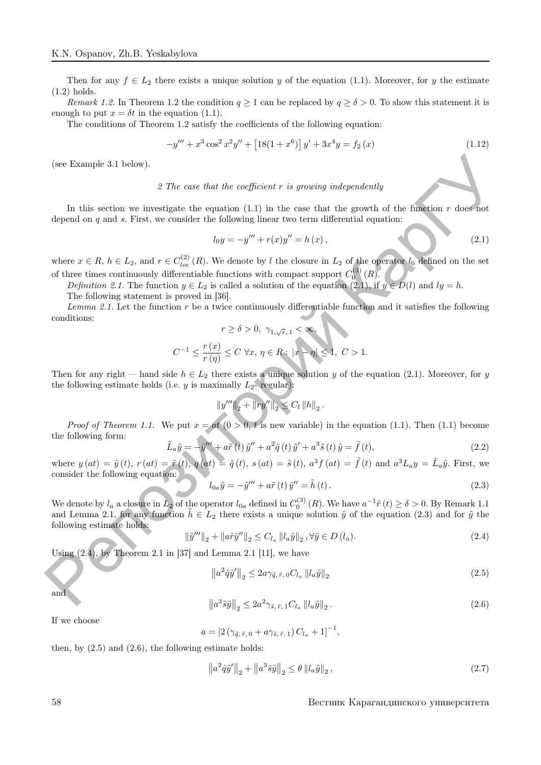Then for any  $f \in L_2$  there exists a unique solution y of the equation (1.1). Moreover, for y the estimate (1.2) holds.

Remark 1.2. In Theorem 1.2 the condition  $q \ge 1$  can be replaced by  $q \ge \delta > 0$ . To show this statement it is enough to put  $x = \delta t$  in the equation (1.1).

The conditions of Theorem 1.2 satisfy the coefficients of the following equation:

$$
-y''' + x^3 \cos^2 x^2 y'' + [18(1+x^6)]y' + 3x^4 y = f_2(x)
$$
\n(1.12)

(see Example 3.1 below).

### 2 The case that the coefficient r is growing independently

In this section we investigate the equation  $(1.1)$  in the case that the growth of the function r does not depend on  $q$  and  $s$ . First, we consider the following linear two term differential equation:

$$
l_0 y = -y''' + r(x)y'' = h(x),
$$
\n(2.1)

where  $x \in R$ ,  $h \in L_2$ , and  $r \in C_{loc}^{(2)}(R)$ . We denote by l the closure in  $L_2$  of the operator  $l_0$  defined on the set of three times continuously differentiable functions with compact support  $C_0^{(3)}(R)$ .

Definition 2.1. The function  $y \in L_2$  is called a solution of the equation (2.1), if  $y \in D(l)$  and  $ly = h$ . The following statement is proved in [36].

Lemma 2.1. Let the function  $r$  be a twice continuously differentiable function and it satisfies the following conditions:

$$
r \ge \delta > 0, \ \gamma_{1,\sqrt{r},\,1} < \infty,
$$
  

$$
C^{-1} \le \frac{r(x)}{r(\eta)} \le C \ \forall x,\, \eta \in R : ||x - \eta|| \le 1, \ C > 1.
$$

Then for any right — hand side  $h \in L_2$  there exists a unique solution y of the equation (2.1). Moreover, for y the following estimate holds (i.e. y is maximally  $L_2$ - regular):

$$
||y'''||_2 + ||ry''||_2 \leq C_l ||h||_2.
$$

*Proof of Theorem 1.1.* We put  $x = at (0 > 0, t$  is new variable) in the equation (1.1). Then (1.1) become the following form:

$$
\tilde{L}_a \tilde{y} = -\tilde{y}^{\prime\prime\prime} + a\tilde{r}(t)\tilde{y}^{\prime\prime} + a^2 \tilde{q}(t)\tilde{y}^{\prime} + a^3 \tilde{s}(t)\tilde{y} = \tilde{f}(t),
$$
\n(2.2)

where  $y(at) = \tilde{y}(t)$ ,  $r(at) = \tilde{r}(t)$ ,  $q(at) = \tilde{q}(t)$ ,  $s(at) = \tilde{s}(t)$ ,  $a^3 f(at) = \tilde{f}(t)$  and  $a^3 L_a y = \tilde{L}_a \tilde{y}$ . First, we consider the following equation:

$$
l_{0a}\tilde{y} = -\tilde{y}''' + a\tilde{r}(t)\tilde{y}'' = \tilde{h}(t).
$$
\n(2.3)

We denote by  $l_a$  a closure in  $L_2$  of the operator  $l_{0a}$  defined in  $C_0^{(3)}(R)$ . We have  $a^{-1}\tilde{r}(t) \ge \delta > 0$ . By Remark 1.1 and Lemma 2.1, for any function  $\tilde{h} \in L_2$  there exists a unique solution  $\tilde{y}$  of the equation (2.3) and for  $\tilde{y}$  the following estimate holds: (see Example 3.1 below).<br>
2 The case that the coefficient  $r$  is growing independently<br>
In this section we investigate the equation (Li) in the case that the growth of the function<br>
depend on  $q$  and x. First, we consider

$$
\left\|\tilde{y}^{\prime\prime\prime}\right\|_{2} + \left\|\tilde{a}\tilde{y}^{\prime\prime}\right\|_{2} \leq C_{l_{a}} \left\|l_{a}\tilde{y}\right\|_{2}, \forall \tilde{y} \in D\left(l_{a}\right). \tag{2.4}
$$

Using  $(2.4)$ , by Theorem 2.1 in [37] and Lemma 2.1 [11], we have

$$
\left\|a^2\tilde{q}\tilde{y}'\right\|_2 \le 2a\gamma_{\tilde{q},\tilde{r},0}C_{l_a}\left\|l_a\tilde{y}\right\|_2\tag{2.5}
$$

and

$$
\left\|a^3 \tilde{s}\tilde{y}\right\|_2 \le 2a^2 \gamma_{\tilde{s},\tilde{r},1} C_{l_a} \left\|l_a \tilde{y}\right\|_2.
$$
\n(2.6)

If we choose

$$
a = [2(\gamma_{\tilde{q},\tilde{r},0} + a\gamma_{\tilde{s},\tilde{r},1}) C_{l_a} + 1]^{-1},
$$

then, by  $(2.5)$  and  $(2.6)$ , the following estimate holds:

$$
\left\|a^2 \tilde{q}\tilde{y}'\right\|_2 + \left\|a^3 \tilde{s}\tilde{y}\right\|_2 \le \theta \left\|l_a \tilde{y}\right\|_2,\tag{2.7}
$$

#### 58 Вестник Карагандинского университета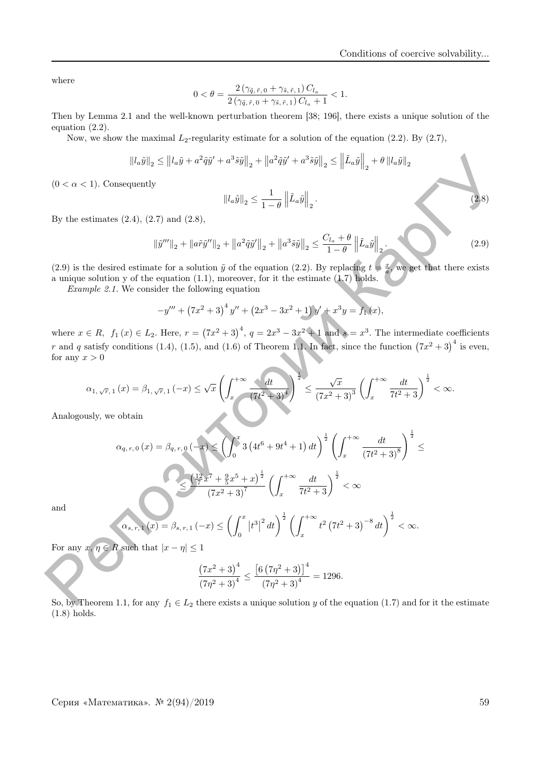where

$$
0 < \theta = \frac{2(\gamma_{\tilde{q},\tilde{r},0} + \gamma_{\tilde{s},\tilde{r},1})C_{l_a}}{2(\gamma_{\tilde{q},\tilde{r},0} + \gamma_{\tilde{s},\tilde{r},1})C_{l_a} + 1} < 1.
$$

Then by Lemma 2.1 and the well-known perturbation theorem [38; 196], there exists a unique solution of the equation (2.2).

Now, we show the maximal  $L_2$ -regularity estimate for a solution of the equation (2.2). By (2.7),

$$
||l_a\tilde{y}||_2 \le ||l_a\tilde{y} + a^2\tilde{q}\tilde{y}' + a^3\tilde{s}\tilde{y}||_2 + ||a^2\tilde{q}\tilde{y}' + a^3\tilde{s}\tilde{y}||_2 \le ||\tilde{L}_a\tilde{y}||_2 + \theta ||l_a\tilde{y}||_2
$$

 $(0 < \alpha < 1)$ . Consequently

$$
||l_a\tilde{y}||_2 \le \frac{1}{1-\theta} ||\tilde{L}_a\tilde{y}||_2.
$$
\n(2.8)

By the estimates  $(2.4)$ ,  $(2.7)$  and  $(2.8)$ ,

$$
\left\|\tilde{y}^{\prime\prime\prime}\right\|_{2} + \left\|\tilde{a}\tilde{y}^{\prime\prime}\right\|_{2} + \left\|\tilde{a}^{2}\tilde{q}\tilde{y}^{\prime}\right\|_{2} + \left\|\tilde{a}^{3}\tilde{y}\right\|_{2} \le \frac{C_{l_{a}} + \theta}{1 - \theta} \left\|\tilde{L}_{a}\tilde{y}\right\|_{2}.
$$
\n(2.9)

(2.9) is the desired estimate for a solution  $\tilde{y}$  of the equation (2.2). By replacing  $t = \frac{x}{a}$ , we get that there exists a unique solution y of the equation (1.1), moreover, for it the estimate (1.7) holds.

Example 2.1. We consider the following equation

$$
-y''' + (7x^2 + 3)^4 y'' + (2x^3 - 3x^2 + 1)y' + x^3 y = f_1(x),
$$

where  $x \in R$ ,  $f_1(x) \in L_2$ . Here,  $r = (7x^2 + 3)^4$ ,  $q = 2x^3 - 3x^2 + 1$  and  $s = x^3$ . The intermediate coefficients r and q satisfy conditions (1.4), (1.5), and (1.6) of Theorem 1.1. In fact, since the function  $(7x^2+3)^4$  is even, for any  $x > 0$ 

$$
\alpha_{1,\sqrt{r},\,1}\left(x\right)=\beta_{1,\sqrt{r},\,1}\left(-x\right)\leq\sqrt{x}\left(\int_{x}^{+\infty}\frac{dt}{\left(7t^{2}+3\right)^{4}}\right)^{\frac{1}{2}}\leq\frac{\sqrt{x}}{\left(7x^{2}+3\right)^{3}}\left(\int_{x}^{+\infty}\frac{dt}{7t^{2}+3}\right)^{\frac{1}{2}}<\infty.
$$

Analogously, we obtain

$$
||a_{\tilde{y}}||_2 \le ||a_{\tilde{u}} + a^2 \tilde{q}\tilde{y}' + a^3 \tilde{s}\tilde{y}||_2 + ||a^2 \tilde{q}\tilde{y}' + a^3 \tilde{s}\tilde{y}||_2 \le ||\tilde{L}_a\tilde{y}||_2 + \theta ||a_{\tilde{y}}||_2
$$
\n
$$
(0 < \alpha < 1).
$$
 Consequently\n
$$
||a_{\tilde{y}}||_2 \le \frac{1}{1-\theta} ||\tilde{L}_a\tilde{y}||_2.
$$
\nBy the estimates (2.4), (2.7) and (2.8),\n
$$
||\tilde{y}'''||_2 + ||a\tilde{r}\tilde{y}'''||_2 + ||a^2 \tilde{q}\tilde{y}'''||_2 + ||a^3 \tilde{s}\tilde{y}||_2 \le \frac{C_{l_a} + \theta}{1-\theta} ||\tilde{L}_a\tilde{y}||_2.
$$
\n(2.9) is the desired estimate for a solution  $\tilde{y}$  of the equation (2.2). By replacing  $t = \tilde{x}$ , we get that there exists a unique solution  $y$  of the equation (2.2). By replacing  $t = \tilde{x}$ , we get that there exists a unique solution  $y$  of the equation (2.2). By replacing  $t = \tilde{x}$ , we get that there exists a number  $z$ . $t$ . We consider the following equation\n
$$
-y''' + (7x^2 + 3)^4 y'' + (2x^3 - 3x^2 + 1) y' + x^3 y = f_1(x),
$$
\nwhere  $x \in R$ ,  $f_1(x) \in L_2$ . Here,  $r = (7x^2 + 3)^4$ ,  $q = 2x^3 - 3x^2 + 1$  and  $s = x^3$ . The intermediate coefficients  $r$  or any  $x > 0$ \n
$$
\alpha_{1, \sqrt{r}, 1}(x) = \beta_{1, \sqrt{r}, 1}(-x) \le \sqrt{x} \left(\int_{x}^{+\infty} \frac{dt}{(7t^2 + 3)^4}\right)^{\frac{1}{2}} \le \frac{\sqrt{x}}{(7x^2 + 3)^3} \left(\int_{x}^{+\infty} \frac{dt}{7t^2 + 3}\right)^{\frac{1}{2}} < \infty.
$$
\

and

$$
\alpha_{s, r, 1}(x) = \beta_{s, r, 1}(-x) \le \left(\int_0^{\infty} |t^*| \ dt\right) \left(\int_x^{\infty} dx\right)
$$

For any  $x, \eta \in R$  such that  $|x - \eta| \leq 1$ 

$$
\frac{\left(7x^2+3\right)^4}{\left(7\eta^2+3\right)^4} \le \frac{\left[6\left(7\eta^2+3\right)\right]^4}{\left(7\eta^2+3\right)^4} = 1296.
$$

So, by Theorem 1.1, for any  $f_1 \in L_2$  there exists a unique solution y of the equation (1.7) and for it the estimate (1.8) holds.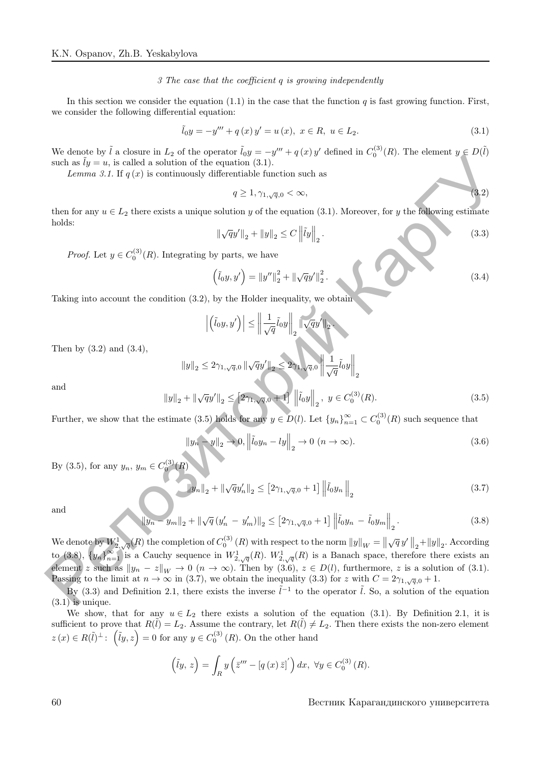#### 3 The case that the coefficient q is growing independently

In this section we consider the equation  $(1.1)$  in the case that the function q is fast growing function. First, we consider the following differential equation:

$$
\tilde{l}_0 y = -y''' + q(x) y' = u(x), \ x \in R, \ u \in L_2.
$$
\n(3.1)

We denote by  $\tilde{l}$  a closure in  $L_2$  of the operator  $\tilde{l}_0y = -y''' + q(x)y'$  defined in  $C_0^{(3)}(R)$ . The element  $y \in D(\tilde{l})$ such as  $\tilde{l}y = u$ , is called a solution of the equation (3.1).

Lemma 3.1. If  $q(x)$  is continuously differentiable function such as

$$
q \ge 1, \gamma_{1,\sqrt{q},0} < \infty,\tag{3.2}
$$

then for any  $u \in L_2$  there exists a unique solution y of the equation (3.1). Moreover, for y the following estimate holds:

$$
\|\sqrt{q}y'\|_2 + \|y\|_2 \le C \|\tilde{I}y\|_2.
$$
\n(3.3)

*Proof.* Let  $y \in C_0^{(3)}(R)$ . Integrating by parts, we have

$$
(\tilde{l}_0 y, y') = ||y''||_2^2 + ||\sqrt{q}y'||_2^2.
$$
 (3.4)

Taking into account the condition (3.2), by the Holder inequality, we obtain

$$
\left| \left( \tilde{l}_0 y, y' \right) \right| \le \left\| \frac{1}{\sqrt{q}} \tilde{l}_0 y \right\|_2 \left\| \sqrt{q} y' \right\|_2
$$

Then by (3.2) and (3.4),

$$
||y||_2 \le 2\gamma_{1,\sqrt{q},0} ||\sqrt{q}y'||_2 \le 2\gamma_{1,\sqrt{q},0} ||\frac{1}{\sqrt{q}}\tilde{l}_0y||_2
$$
  

$$
||y||_2 + ||\sqrt{q}y'||_2 \le [2\gamma_{1,\sqrt{q},0} + 1] ||\tilde{l}_0y||_2, \ y \in C_0^{(3)}(R).
$$
 (3.5)

.

Further, we show that the estimate (3.5) holds for any  $y \in D(l)$ . Let  $\{y_n\}_{n=1}^{\infty} \subset C_0^{(3)}(R)$  such sequence that

$$
||y_n - y||_2 \to 0, \left\| \tilde{t}_0 y_n - l y \right\|_2 \to 0 \ (n \to \infty).
$$
 (3.6)

By (3.5), for any  $y_n, y_m \in C_0^{(3)}$  $(R)$ 

$$
\|y_n\|_2 + \|\sqrt{q}y_n'\|_2 \le [2\gamma_{1,\sqrt{q},0}+1] \left\|\tilde{l}_0y_n\right\|_2
$$
\n(3.7)

and

and

$$
\|y_n - y_m\|_2 + \|\sqrt{q}(y'_n - y'_m)\|_2 \le [2\gamma_{1,\sqrt{q},0} + 1] \left\|\tilde{l}_0 y_n - \tilde{l}_0 y_m\right\|_2.
$$
 (3.8)

We denote by  $W_{2,\sqrt{q}}^1(R)$  the completion of  $C_0^{(3)}(R)$  with respect to the norm  $||y||_W = ||\sqrt{q}y'||_2 + ||y||_2$ . According to (3.8),  $\{y_n\}_{n=1}^{\infty}$  is a Cauchy sequence in  $W^1_{2,\sqrt{q}}(R)$ .  $W^1_{2,\sqrt{q}}(R)$  is a Banach space, therefore there exists an element z such as  $||y_n - z||_W \to 0$   $(n \to \infty)$ . Then by  $(3.6), z \in D(l)$ , furthermore, z is a solution of (3.1). Passing to the limit at  $n \to \infty$  in (3.7), we obtain the inequality (3.3) for z with  $C = 2\gamma_{1,\sqrt{q},0} + 1$ . **Control** to the interaction of the consideration  $\frac{1}{2}$  is controlled to distinct the consideration of  $\sqrt{2}y' + \sqrt{y}$ . The entropy of  $\sqrt{2}y' + \sqrt{y}$  is controlled to the equation  $y' + \sqrt{y}$  is controlled to the equ

By (3.3) and Definition 2.1, there exists the inverse  $\tilde{l}^{-1}$  to the operator  $\tilde{l}$ . So, a solution of the equation  $(3.1)$  is unique.

We show, that for any  $u \in L_2$  there exists a solution of the equation (3.1). By Definition 2.1, it is sufficient to prove that  $R(\tilde{l}) = L_2$ . Assume the contrary, let  $R(\tilde{l}) \neq L_2$ . Then there exists the non-zero element  $z(x) \in R(\tilde{l})^{\perp}$ :  $(\tilde{l}y, z) = 0$  for any  $y \in C_0^{(3)}(R)$ . On the other hand

$$
(\tilde{I}y, z) = \int_{R} y \left( \bar{z}''' - [q(x)\,\bar{z}]'\right) dx, \ \forall y \in C_0^{(3)}(R).
$$

60 Вестник Карагандинского университета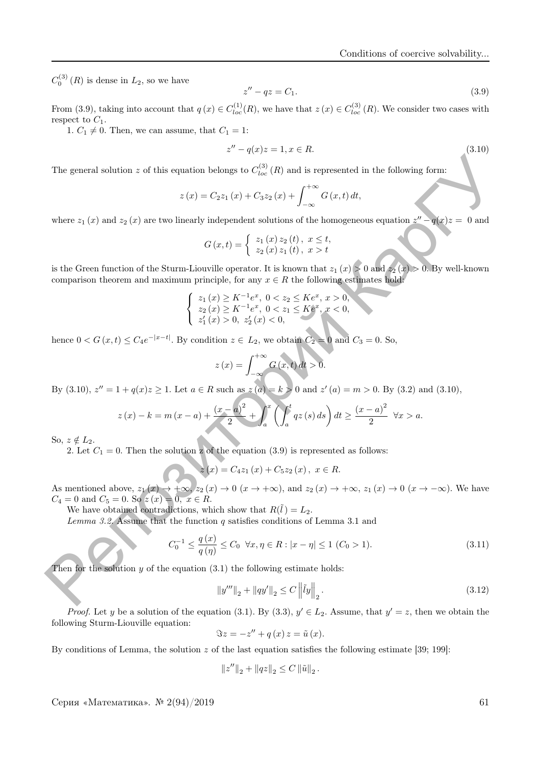$C_0^{(3)}(R)$  is dense in  $L_2$ , so we have

$$
z'' - qz = C_1. \tag{3.9}
$$

From (3.9), taking into account that  $q(x) \in C_{loc}^{(1)}(R)$ , we have that  $z(x) \in C_{loc}^{(3)}(R)$ . We consider two cases with respect to  $C_1$ .

1.  $C_1 \neq 0$ . Then, we can assume, that  $C_1 = 1$ :

$$
z'' - q(x)z = 1, x \in R.
$$
\n(3.10)

The general solution z of this equation belongs to  $C^{(3)}_{loc}(R)$  and is represented in the following form:

$$
z(x) = C_2 z_1(x) + C_3 z_2(x) + \int_{-\infty}^{+\infty} G(x, t) dt,
$$

where  $z_1(x)$  and  $z_2(x)$  are two linearly independent solutions of the homogeneous equation  $z'' - q(x)z = 0$  and

$$
G(x,t) = \begin{cases} z_1(x) z_2(t), & x \leq t, \\ z_2(x) z_1(t), & x > t \end{cases}
$$

is the Green function of the Sturm-Liouville operator. It is known that  $z_1 (x) > 0$  and  $z_2 (x) > 0$ . By well-known comparison theorem and maximum principle, for any  $x \in R$  the following estimates hold:

$$
\begin{cases} z_1(x) \geq K^{-1}e^x, \ 0 < z_2 \leq Ke^x, \ x > 0, \\ z_2(x) \geq K^{-1}e^x, \ 0 < z_1 \leq Ke^x, \ x < 0, \\ z'_1(x) > 0, \ z'_2(x) < 0, \end{cases}
$$

hence  $0 < G(x,t) \leq C_4 e^{-|x-t|}$ . By condition  $z \in L_2$ , we obtain  $C_2 = 0$  and  $C_3 = 0$ . So,

$$
z(x) = \int_{-\infty}^{+\infty} G(x, t) dt > 0.
$$

By (3.10),  $z'' = 1 + q(x)z \ge 1$ . Let  $a \in R$  such as  $z(a) = k > 0$  and  $z'(a) = m > 0$ . By (3.2) and (3.10),

The general solution z of this equation belongs to 
$$
C_{loc}^{(3)}(R)
$$
 and is represented in the following form:  
\n
$$
z(x) = C_2 z_1(x) + C_3 z_2(x) + \int_{-\infty}^{+\infty} G(x, t) dt,
$$
\nwhere  $z_1(x)$  and  $z_2(x)$  are two linearly independent solutions of the homogeneous equation  $z'' - q(x)z = 0$  and  
\n
$$
G(x, t) = \begin{cases} z_1(x) z_2(t), x \le t, \\ z_2(x) z_1(t), x > t \end{cases}
$$
\nis the Green function of the Sturm-Liouville operator. It is known that  $z_1(x) > 0$  and  $z_2(x) > 0$ . By well-known comparison theorem and maximum principle, for any  $x \in R$  the following estimates hold:  
\n
$$
\begin{cases} z_1(x) \ge K^{-1}e^x, 0 < z_2 \le K e^x, x > 0, \\ z_2(x) > 0, z_2(x) < 0, \\ z_1(x) > 0, z_2(x) < 0, \end{cases}
$$
\nhence  $0 < G(x, t) \le C_4 e^{-|x-t|}$ . By condition  $z \in L_2$ , we obtain  $C_2 \ge 0$  and  $C_3 = 0$ . So,  
\n
$$
z(x) = \int_{-\infty}^{+\infty} G(x, t) dt > 0.
$$
\nBy (3.10),  $z'' = 1 + q(x)z \ge 1$ . Let  $a \in R$  such as  $z(a) = k > 0$  and  $z'(a) = m > 0$ . By (3.2) and (3.10),  
\n
$$
z(x) - k = m(x - a) + \frac{(x - a)^2}{2} + \int_a^x \left( \int_a^t q z(s) ds \right) dt \ge \frac{(x - a)^2}{2} \forall x > a.
$$
\nSo,  $z \notin L_2$ .  
\n2. Let  $C_1 = 0$ . Then the solution  $z$  of the equation (3.9) is represented as follows:  
\n
$$
z(x) = C_4 z_1(x) + C_5 z_2(x), x \in R.
$$
\nSo,  $z \notin L_2$ .  
\n2. Let  $C_1 = 0$ . Then the solution  $z$  of the equation (3.9) is represented as

So,  $z \notin L_2$ .

2. Let  $C_1 = 0$ . Then the solution z of the equation (3.9) is represented as follows:

 $z(x) = C_4z_1(x) + C_5z_2(x), x \in R.$ 

As mentioned above,  $z_1(x) \to +\infty$ ,  $z_2(x) \to 0$   $(x \to +\infty)$ , and  $z_2(x) \to +\infty$ ,  $z_1(x) \to 0$   $(x \to -\infty)$ . We have  $C_4 = 0$  and  $C_5 = 0$ . So  $z(x) = 0$ ,  $x \in R$ .

We have obtained contradictions, which show that  $R(\tilde{l}) = L_2$ .

Lemma 3.2. Assume that the function  $q$  satisfies conditions of Lemma 3.1 and

$$
C_0^{-1} \le \frac{q(x)}{q(\eta)} \le C_0 \quad \forall x, \eta \in R : |x - \eta| \le 1 \ (C_0 > 1). \tag{3.11}
$$

Then for the solution  $y$  of the equation  $(3.1)$  the following estimate holds:

$$
||y'''||_2 + ||qy'||_2 \le C \left\| \tilde{u}y \right\|_2.
$$
\n(3.12)

*Proof.* Let y be a solution of the equation (3.1). By (3.3),  $y' \in L_2$ . Assume, that  $y' = z$ , then we obtain the following Sturm-Liouville equation:

$$
\Im z = -z'' + q(x) z = \tilde{u}(x).
$$

By conditions of Lemma, the solution z of the last equation satisfies the following estimate [39; 199]:

$$
\left\|z''\right\|_2+\left\|q z\right\|_2\leq C\left\|\tilde{u}\right\|_2.
$$

Серия «Математика». <sup>№</sup> 2(94)/2019 61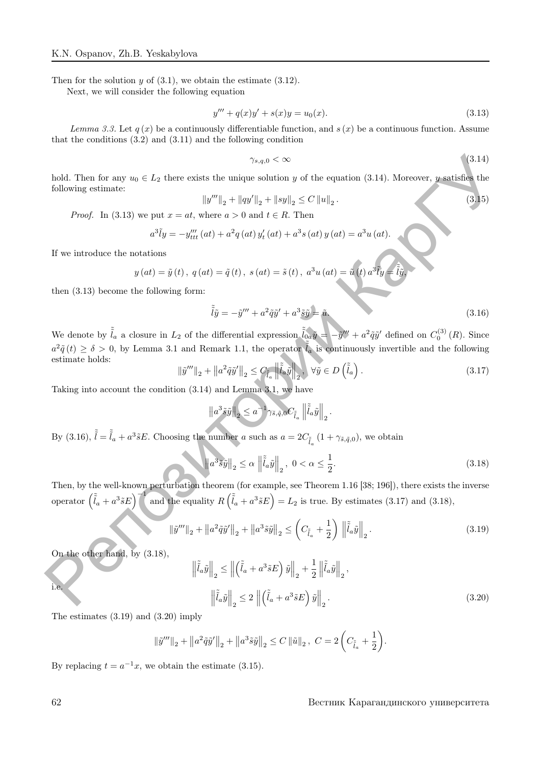Then for the solution  $y$  of  $(3.1)$ , we obtain the estimate  $(3.12)$ .

Next, we will consider the following equation

$$
y''' + q(x)y' + s(x)y = u_0(x).
$$
\n(3.13)

Lemma 3.3. Let  $q(x)$  be a continuously differentiable function, and  $s(x)$  be a continuous function. Assume that the conditions (3.2) and (3.11) and the following condition

$$
\gamma_{s,q,0} < \infty \tag{3.14}
$$

hold. Then for any  $u_0 \in L_2$  there exists the unique solution y of the equation (3.14). Moreover, y satisfies the following estimate:

$$
||y'''||_2 + ||qy'||_2 + ||sy||_2 \le C ||u||_2.
$$
\n(3.15)

*Proof.* In (3.13) we put  $x = at$ , where  $a > 0$  and  $t \in R$ . Then

$$
a^{3}\tilde{l}y = -y_{ttt}'''(at) + a^{2}q(at) y_{t}'(at) + a^{3}s(at) y(at) = a^{3}u(at).
$$

If we introduce the notations

$$
y (at) = \tilde{y}(t), q (at) = \tilde{q}(t), s (at) = \tilde{s}(t), a^{3} u (at) = \tilde{u}(t) a^{3} \tilde{t} y = \tilde{\tilde{t}} \tilde{y},
$$

then (3.13) become the following form:

$$
\tilde{\tilde{l}}\tilde{y} = -\tilde{y}''' + a^2 \tilde{q}\tilde{y}' + a^3 \tilde{s}\tilde{y} = \tilde{u}.\tag{3.16}
$$

We denote by  $\tilde{\tilde{l}}_a$  a closure in  $L_2$  of the differential expression  $\tilde{\tilde{l}}_{0a}\tilde{y} = -\tilde{y}^{\prime\prime\prime} + a^2 \tilde{q}\tilde{y}^{\prime}$  defined on  $C_0^{(3)}(R)$ . Since  $a^2 \tilde{q}(t) \geq \delta > 0$ , by Lemma 3.1 and Remark 1.1, the operator  $\tilde{l}_a$  is continuously invertible and the following estimate holds: 1-a), Then for any  $w_0 \in T_2$  there exists the minima such the equation (3.14). Moreover, a sublished the following estimate  $\label{eq:3.13} Provef. \text{ In (3.13) we put } x = dt, \text{ where } x > 0 \text{ and } t \in R. \text{ Then} \\ \alpha^2 \tilde{t}_2 = -y_{\text{res}}^{\prime 0}(dt) + a^2 q \left( dt \right$ 

$$
\|\tilde{y}^{\prime\prime\prime}\|_{2} + \|a^{2}\tilde{q}\tilde{y}^{\prime}\|_{2} \leq C_{\tilde{\tilde{t}}_{a}} \|\tilde{\tilde{t}}_{a}\tilde{y}\|_{2}, \ \forall \tilde{y} \in D\left(\tilde{\tilde{t}}_{a}\right). \tag{3.17}
$$

Taking into account the condition (3.14) and Lemma 3.1, we have

$$
\left\|a^3\tilde{s}\tilde{y}\right\|_2 \leq a^{-1}\gamma_{\tilde{s},\tilde{q},0}C_{\tilde{t}_a}\left\|\tilde{\tilde{t}}_a\tilde{y}\right\|_2.
$$

By (3.16),  $\tilde{l} = \tilde{l}_a + a^3 \tilde{s} E$ . Choosing the number a such as  $a = 2C_{\tilde{l}_a} (1 + \gamma_{\tilde{s}, \tilde{q}, 0})$ , we obtain

$$
\left\|a^3\tilde{s}\tilde{y}\right\|_2 \le \alpha \left\|\tilde{\tilde{l}}_a\tilde{y}\right\|_2, \ 0 < \alpha \le \frac{1}{2}.\tag{3.18}
$$

Then, by the well-known perturbation theorem (for example, see Theorem 1.16 [38; 196]), there exists the inverse operator  $(\tilde{l}_a + a^3 \tilde{s} E)^{-1}$  and the equality  $R(\tilde{l}_a + a^3 \tilde{s} E) = L_2$  is true. By estimates (3.17) and (3.18),

$$
\|\tilde{y}'''\|_2 + \|a^2 \tilde{q}\tilde{y}'\|_2 + \|a^3 \tilde{s}\tilde{y}\|_2 \le \left(C_{\tilde{t}_a} + \frac{1}{2}\right) \left\|\tilde{\tilde{l}}_a \tilde{y}\right\|_2.
$$
\n(3.19)

On the other hand, by (3.18),

$$
\left\| \tilde{\tilde{l}}_a \tilde{y} \right\|_2 \le \left\| \left( \tilde{\tilde{l}}_a + a^3 \tilde{s} E \right) \tilde{y} \right\|_2 + \frac{1}{2} \left\| \tilde{\tilde{l}}_a \tilde{y} \right\|_2,
$$
  

$$
\left\| \tilde{\tilde{l}}_a \tilde{y} \right\|_2 \le 2 \left\| \left( \tilde{\tilde{l}}_a + a^3 \tilde{s} E \right) \tilde{y} \right\|_2.
$$
 (3.20)

The estimates (3.19) and (3.20) imply

$$
\|\tilde{y}^{\prime\prime\prime}\|_{2} + \|a^{2}\tilde{q}\tilde{y}^{\prime}\|_{2} + \|a^{3}\tilde{s}\tilde{y}\|_{2} \leq C \|\tilde{u}\|_{2}, \ C = 2\left(C_{\tilde{t}_{a}} + \frac{1}{2}\right).
$$

By replacing  $t = a^{-1}x$ , we obtain the estimate (3.15).

### 62 Вестник Карагандинского университета

i.e.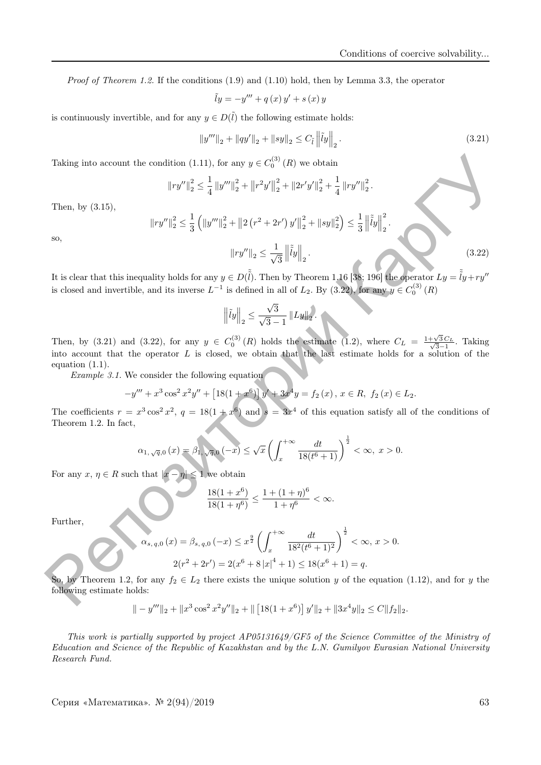*Proof of Theorem 1.2.* If the conditions  $(1.9)$  and  $(1.10)$  hold, then by Lemma 3.3, the operator

$$
\tilde{y} = -y''' + q(x)y' + s(x)y
$$

is continuously invertible, and for any  $y \in D(\tilde{l})$  the following estimate holds:

$$
||y'''||_2 + ||qy'||_2 + ||sy||_2 \le C_{\tilde{l}} ||\tilde{l}y||_2.
$$
\n(3.21)

Taking into account the condition (1.11), for any  $y \in C_0^{(3)}(R)$  we obtain

$$
||ry''||_2^2 \le \frac{1}{4} ||y'''||_2^2 + ||r^2y'||_2^2 + ||2r'y'||_2^2 + \frac{1}{4} ||ry''||_2^2.
$$

Then, by (3.15),

$$
\begin{aligned} \left\|ry''\right\|_2^2 &\leq \frac{1}{3} \left( \left\|y''' \right\|_2^2 + \left\| 2 \left( r^2 + 2r' \right) y' \right\|_2^2 + \left\| sy \right\|_2^2 \right) \leq \frac{1}{3} \left\| \tilde{\tilde{l}}y \right\|_2^2. \\ \left\| ry'' \right\|_2 &\leq \frac{1}{\sqrt{3}} \left\| \tilde{\tilde{l}}y \right\|_2. \end{aligned}
$$

so,

It is clear that this inequality holds for any  $y \in D(\tilde{\tilde{l}})$ . Then by Theorem 1.16 [38; 196] the operator  $Ly = \tilde{\tilde{l}}y + ry''$ is closed and invertible, and its inverse  $L^{-1}$  is defined in all of  $L_2$ . By  $(3.22)$ , for any  $y \in C_0^{(3)}(R)$ 

3

$$
\left\|\tilde{l}y\right\|_2 \le \frac{\sqrt{3}}{\sqrt{3}-1} \left\|Ly\right\|_2.
$$

Then, by (3.21) and (3.22), for any  $y \in C_0^{(3)}(R)$  holds the estimate (1.2), where  $C_L = \frac{1+\sqrt{3}C_L}{\sqrt{3}-1}$  $\frac{\sqrt{3}C_L}{3-1}$ . Taking into account that the operator  $L$  is closed, we obtain that the last estimate holds for a solution of the equation  $(1.1)$ . Then, by (3.15),<br>
Then, by (3.15),<br>  $||\eta f'||_2^2 \leq \frac{1}{4} ||y''||_2^2 + ||y''||_2^2 + ||y''||_2^2 + ||y''||_2^2 + \frac{1}{4} ||y''||_2^2$ <br>
Then, by (3.15),<br>  $||\eta f''||_2^2 \leq \frac{1}{4} ||y'''||_2^2 + ||2 (x^2 + 2x')y||_2^2 + ||x/y||_2^2 + \frac{1}{4} ||y''||_2^2$ <br>
so,<br>
It is clear t

Example 3.1. We consider the following equation

$$
-y''' + x^3 \cos^2 x^2 y'' + [18(1+x^6)]y' + 3x^4y = f_2(x), x \in R, f_2(x) \in L_2.
$$

The coefficients  $r = x^3 \cos^2 x^2$ ,  $q = 18(1 + x^6)$  and  $s = 3x^4$  of this equation satisfy all of the conditions of Theorem 1.2. In fact,

$$
\alpha_{1,\sqrt{q},0}(x) = \beta_{1,\sqrt{q},0}(-x) \le \sqrt{x} \left( \int_{x}^{+\infty} \frac{dt}{18(t^{6}+1)} \right)^{\frac{1}{2}} < \infty, \ x > 0.
$$

For any  $x, \eta \in R$  such that  $|x - \eta| \leq 1$  we obtain

$$
\frac{18(1+x^6)}{18(1+\eta^6)} \le \frac{1+(1+\eta)^6}{1+\eta^6} < \infty.
$$

Further,

$$
\alpha_{s, q, 0}(x) = \beta_{s, q, 0}(-x) \le x^{\frac{9}{2}} \left( \int_x^{+\infty} \frac{dt}{18^2(t^6 + 1)^2} \right)^{\frac{1}{2}} < \infty, x > 0.
$$
  

$$
2(r^2 + 2r') = 2(x^6 + 8|x|^4 + 1) \le 18(x^6 + 1) = q.
$$

So, by Theorem 1.2, for any  $f_2 \in L_2$  there exists the unique solution y of the equation (1.12), and for y the following estimate holds:

$$
\| - y''' \|_2 + \| x^3 \cos^2 x^2 y'' \|_2 + \| [18(1+x^6)] y' \|_2 + \| 3x^4 y \|_2 \le C \| f_2 \|_2.
$$

This work is partially supported by project AP05131649/GF5 of the Science Committee of the Ministry of Education and Science of the Republic of Kazakhstan and by the L.N. Gumilyov Eurasian National University Research Fund.

 $(3.22)$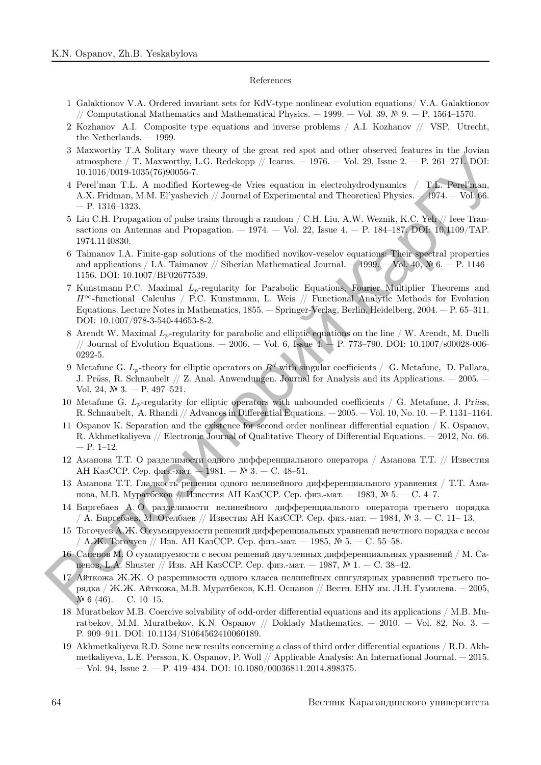#### References

- 1 Galaktionov V.A. Ordered invariant sets for KdV-type nonlinear evolution equations/ V.A. Galaktionov // Computational Mathematics and Mathematical Physics. — 1999. — Vol. 39, № 9. — P. 1564–1570.
- 2 Kozhanov A.I. Composite type equations and inverse problems / A.I. Kozhanov // VSP, Utrecht, the Netherlands. — 1999.
- 3 Maxworthy T.A Solitary wave theory of the great red spot and other observed features in the Jovian atmosphere / T. Maxworthy, L.G. Redekopp // Icarus.  $-1976.$  – Vol. 29, Issue 2. – P. 261–271. DOI: 10.1016/0019-1035(76)90056-7.
- 4 Perel'man T.L. A modified Korteweg-de Vries equation in electrohydrodynamics / T.L. Perel'man, A.X. Fridman, M.M. El'yashevich // Journal of Experimental and Theoretical Physics. — 1974. — Vol. 66. — P. 1316–1323.
- 5 Liu C.H. Propagation of pulse trains through a random / C.H. Liu, A.W. Weznik, K.C. Yeh // Ieee Transactions on Antennas and Propagation.  $-1974.$   $-$  Vol. 22, Issue 4.  $-$  P. 184–187. DOI: 10.1109/TAP. 1974.1140830.
- 6 Taimanov I.A. Finite-gap solutions of the modified novikov-veselov equations: Their spectral properties and applications / I.A. Taimanov // Siberian Mathematical Journal. — 1999. — Vol. 40, № 6. — Р. 1146– 1156. DOI: 10.1007/BF02677539.
- 7 Kunstmann P.C. Maximal  $L_p$ -regularity for Parabolic Equations, Fourier Multiplier Theorems and  $H^{\infty}$ -functional Calculus / P.C. Kunstmann, L. Weis // Functional Analytic Methods for Evolution Equations. Lecture Notes in Mathematics, 1855. — Springer-Verlag, Berlin, Heidelberg, 2004. — P. 65–311. DOI: 10.1007/978-3-540-44653-8-2. Репозиторий КарГУ
	- 8 Arendt W. Maximal  $L_p$ -regularity for parabolic and elliptic equations on the line / W. Arendt, M. Duelli // Journal of Evolution Equations. — 2006. — Vol. 6, Issue 4. — P. 773–790. DOI: 10.1007/s00028-006- 0292-5.
	- 9 Metafune G.  $L_p$ -theory for elliptic operators on  $R^d$  with singular coefficients / G. Metafune, D. Pallara, J. Prüss, R. Schnaubelt  $//$  Z. Anal. Anwendungen. Journal for Analysis and its Applications.  $-$  2005.  $-$ Vol. 24, № 3. — P. 497–521.
	- 10 Metafune G.  $L_p$ -regularity for elliptic operators with unbounded coefficients / G. Metafune, J. Prüss, R. Schnaubelt, A. Rhandi // Advances in Differential Equations. — 2005. — Vol. 10, No. 10. — P. 1131–1164.
	- 11 Ospanov K. Separation and the existence for second order nonlinear differential equation / K. Ospanov, R. Akhmetkaliyeva // Electronic Journal of Qualitative Theory of Differential Equations. — 2012, No. 66. — P. 1–12.
	- 12 Аманова Т.Т. О разделимости одного дифференциального оператора / Аманова Т.Т. // Известия АН КазССР. Сер. физ.-мат. — 1981. — № 3. — C. 48–51.
	- 13 Аманова Т.Т. Гладкость решения одного нелинейного дифференциального уравнения / Т.Т. Аманова, М.В. Муратбеков // Известия АН КазССР. Сер. физ.-мат. — 1983, № 5. — C. 4–7.
	- 14 Биргебаев А. О разделимости нелинейного дифференциального оператора третьего порядка  $/$  А. Биргебаев, М. Отелбаев  $//$  Известия АН КазССР. Сер. физ.-мат.  $-$  1984, № 3.  $-$  С. 11- 13.
	- 15 Тогочуев А.Ж. О суммируемости решений дифференциальных уравнений нечетного порядка с весом / А.Ж. Тогочуев // Изв. АН КазССР. Сер. физ.-мат. – 1985, № 5. – С. 55–58.
	- 16 Сапенов М. О суммируемости с весом решений двучленных дифференциальных уравнений / М. Сапенов, L.A. Shuster // Изв. АН КазССР. Сер. физ.-мат. — 1987, № 1. — С. 38–42.
	- 17 Айткожа Ж.Ж. О разрешимости одного класса нелинейных сингулярных уравнений третьего порядка / Ж.Ж. Айткожа, М.В. Муратбеков, К.Н. Оспанов // Вестн. ЕНУ им. Л.Н. Гумилева. — 2005,  $\mathcal{N}$  6 (46). − C. 10–15.
	- 18 Muratbekov M.B. Coercive solvability of odd-order differential equations and its applications / M.B. Muratbekov, M.M. Muratbekov, K.N. Ospanov // Doklady Mathematics. — 2010. — Vol. 82, No. 3. — P. 909–911. DOI: 10.1134/S1064562410060189.
	- 19 Akhmetkaliyeva R.D. Some new results concerning a class of third order differential equations / R.D. Akhmetkaliyeva, L.E. Persson, K. Ospanov, P. Woll // Applicable Analysis: An International Journal. — 2015.  $-$  Vol. 94, Issue 2.  $-$  P. 419–434. DOI: 10.1080/00036811.2014.898375.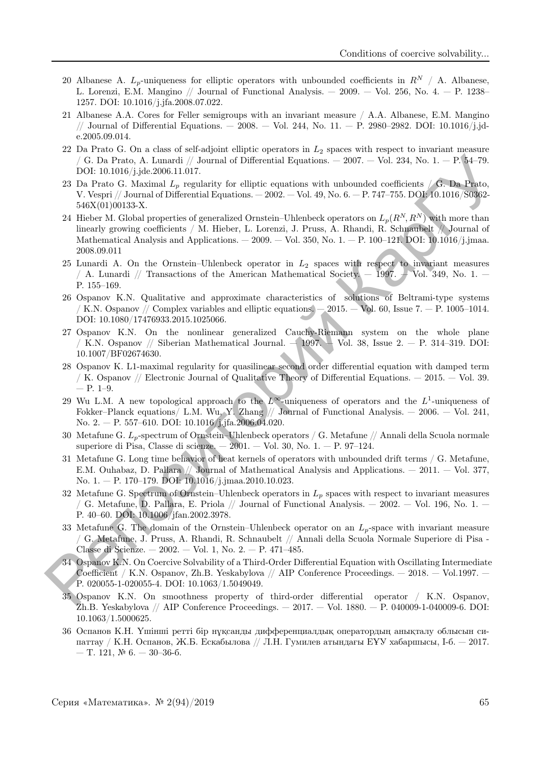- 20 Albanese A.  $L_p$ -uniqueness for elliptic operators with unbounded coefficients in  $R^N / A$ . Albanese, L. Lorenzi, E.M. Mangino // Journal of Functional Analysis. — 2009. — Vol. 256, No. 4. — P. 1238– 1257. DOI: 10.1016/j.jfa.2008.07.022.
- 21 Albanese A.A. Cores for Feller semigroups with an invariant measure / A.A. Albanese, E.M. Mangino // Journal of Differential Equations. — 2008. — Vol. 244, No. 11. — P. 2980–2982. DOI: 10.1016/j.jde.2005.09.014.
- 22 Da Prato G. On a class of self-adjoint elliptic operators in  $L_2$  spaces with respect to invariant measure / G. Da Prato, A. Lunardi // Journal of Differential Equations. — 2007. — Vol. 234, No. 1. — P. 54–79. DOI: 10.1016/j.jde.2006.11.017.
- 23 Da Prato G. Maximal  $L_p$  regularity for elliptic equations with unbounded coefficients / G. Da Prato, V. Vespri // Journal of Differential Equations. — 2002. — Vol. 49, No. 6. — P. 747–755. DOI: 10.1016/S0362- 546X(01)00133-X.
- 24 Hieber M. Global properties of generalized Ornstein–Uhlenbeck operators on  $L_p(R^N, R^N)$  with more than linearly growing coefficients / M. Hieber, L. Lorenzi, J. Pruss, A. Rhandi, R. Schnaubelt // Journal of Mathematical Analysis and Applications.  $-2009.$  – Vol. 350, No. 1. – P. 100–121. DOI: 10.1016/j.jmaa. 2008.09.011 (c). To, France A. Tomazili / Journal of Differential Equations. — 2007. — Viol. 234, No. 1, — P. 34-79.<br>
23 Da Prato G. Maximal Le, regularity for ellipsic equations with unbounded coefficients / G. **b.** Prato G. Maxima
	- 25 Lunardi A. On the Ornstein–Uhlenbeck operator in  $L_2$  spaces with respect to invariant measures / A. Lunardi // Transactions of the American Mathematical Society. — 1997. — Vol. 349, No. 1. — P. 155–169.
	- 26 Ospanov K.N. Qualitative and approximate characteristics of solutions of Beltrami-type systems / K.N. Ospanov // Complex variables and elliptic equations.  $-2015.$  -Vol. 60, Issue 7. - P. 1005-1014. DOI: 10.1080/17476933.2015.1025066.
	- 27 Ospanov K.N. On the nonlinear generalized Cauchy-Riemann system on the whole plane / K.N. Ospanov // Siberian Mathematical Journal.  $-1997.$  Vol. 38, Issue 2.  $-$  P. 314–319. DOI: 10.1007/BF02674630.
	- 28 Ospanov K. L1-maximal regularity for quasilinear second order differential equation with damped term / K. Ospanov // Electronic Journal of Qualitative Theory of Differential Equations. — 2015. — Vol. 39. — P. 1–9.
	- 29 Wu L.M. A new topological approach to the  $L^{\infty}$ -uniqueness of operators and the  $L^{1}$ -uniqueness of Fokker–Planck equations/ L.M. Wu, Y. Zhang // Journal of Functional Analysis. — 2006. — Vol. 241, No. 2. — P. 557–610. DOI: 10.1016/j.jfa.2006.04.020.
	- 30 Metafune G.  $L_p$ -spectrum of Ornstein–Uhlenbeck operators / G. Metafune // Annali della Scuola normale superiore di Pisa, Classe di scienze. —  $2001.$  — Vol. 30, No.  $1.$  — P. 97–124.
	- 31 Metafune G. Long time behavior of heat kernels of operators with unbounded drift terms / G. Metafune, E.M. Ouhabaz, D. Pallara // Journal of Mathematical Analysis and Applications. — 2011. — Vol. 377, No. 1. — P. 170–179. DOI: 10.1016/j.jmaa.2010.10.023.
	- 32 Metafune G. Spectrum of Ornstein–Uhlenbeck operators in  $L_p$  spaces with respect to invariant measures / G. Metafune, D. Pallara, E. Priola // Journal of Functional Analysis.  $-$  2002.  $-$  Vol. 196, No. 1.  $-$ P. 40–60. DOI: 10.1006/jfan.2002.3978.
	- 33 Metafune G. The domain of the Ornstein–Uhlenbeck operator on an  $L_p$ -space with invariant measure / G. Metafune, J. Pruss, A. Rhandi, R. Schnaubelt // Annali della Scuola Normale Superiore di Pisa - Classe di Scienze. — 2002. — Vol. 1, No. 2. — P. 471–485.
	- 34 Ospanov K.N. On Coercive Solvability of a Third-Order Differential Equation with Oscillating Intermediate Coefficient / K.N. Ospanov, Zh.B. Yeskabylova // AIP Conference Proceedings. — 2018. — Vol.1997. — P. 020055-1-020055-4. DOI: 10.1063/1.5049049.
	- 35 Ospanov K.N. On smoothness property of third-order differential operator / K.N. Ospanov, Zh.B. Yeskabylova // AIP Conference Proceedings. — 2017. — Vol. 1880. — P. 040009-1-040009-6. DOI: 10.1063/1.5000625.
	- 36 Оспанов К.Н. Үшiншi реттi бiр нұқсанды дифференциалдық оператордың анықталу облысын сипаттау / К.Н. Оспанов, Ж.Б. Ескабылова // Л.Н. Гумилев атындағы ЕҰУ хабаршысы, I-б. — 2017. — Т. 121, № 6. — 30–36-б.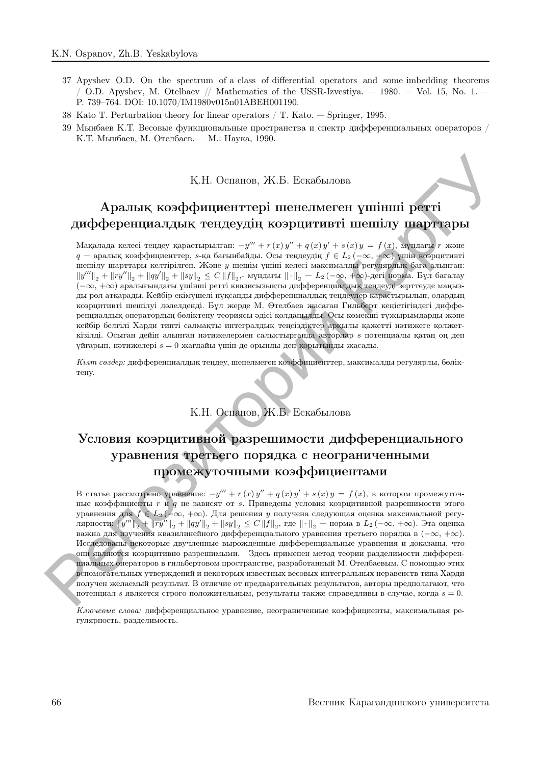- 37 Apyshev O.D. On the spectrum of a class of differential operators and some imbedding theorems / O.D. Apyshev, M. Otelbaev // Mathematics of the USSR-Izvestiya.  $-$  1980.  $-$  Vol. 15, No. 1.  $-$ P. 739–764. DOI: 10.1070/IM1980v015n01ABEH001190.
- 38 Kato T. Perturbation theory for linear operators / T. Kato. Springer, 1995.
- 39 Мынбаев К.Т. Весовые функциональные пространства и спектр дифференциальных операторов / К.Т. Мынбаев, М. Отелбаев. — М.: Наука, 1990.

### Қ.Н. Оспанов, Ж.Б. Ескабылова

# Аралық коэффициенттерi шенелмеген үшiншi реттi дифференциалдық теңдеудiң коэрцитивтi шешiлу шарттары

Мақалада келесі теңдеу қарастырылған:  $-y''' + r(x) y'' + q(x) y' + s(x) y = f(x)$ , мұндағы  $r$  және  $q$  — аралық коэффициенттер, s-қа бағынбайды. Осы теңдеудің  $f \in L_2$  (−∞, +∞) үшін коэрцитивті шешiлу шарттары келтiрiлген. Және y шешiм үшiнi келесi максималды регулярлық баға алынған:  $\|y'''\|_2 + \|ry''\|_2 + \|qy'\|_2 + \|sy\|_2 \leq C\, \|f\|_2$ ,- мұндағы  $\|\cdot\|_2 - L_2(-\infty, +\infty)$ -дегі норма. Бұл бағалау (−∞, +∞) аралығындағы үшiншi реттi квазисызықты дифференциалдық теңдеудi зерттеуде маңызды рөл атқарады. Кейбiр екiмүшелi нұқсанды дифференциалдық теңдеулер қарастырылып, олардың коэрцитивтi шешiлуi дәлелдендi. Бұл жерде М. Өтелбаев жасаған Гильберт кеңiстiгiндегi дифференциалдық оператордың бөлiктену теориясы әдiсi қолданылды. Осы көмекшi тұжырымдарды және кейбiр белгiлi Харди типтi салмақты интегралдық теңсiздiктер арқылы қажеттi нәтижеге қолжеткiзiлдi. Осыған дейiн алынған нәтижелермен салыстырғанда авторлар s потенциалы қатаң оң деп ұйғарып, нәтижелерi s = 0 жағдайы үшiн де орынды деп қорытынды жасады.

Кiлт сөздер: дифференциалдық теңдеу, шенелмеген коэффициенттер, максималды регулярлы, бөлiктену.

К.Н. Оспанов, Ж.Б. Ескабылова

# Условия коэрцитивной разрешимости дифференциального уравнения третьего порядка с неограниченными промежуточными коэффициентами

В статье рассмотрено уравнение:  $-y''' + r(x)y'' + q(x)y' + s(x)y = f(x)$ , в котором промежуточные коэффициенты  $r$  и q не зависят от s. Приведены условия коэрцитивной разрешимости этого уравнения для  $f \in L_2(-\infty, +\infty)$ . Для решения у получена следующая оценка максимальной регулярности:  $\|y'''\|_2 + \|ry''\|_2 + \|qy'\|_2 + \|sy\|_2 \leq C\left\|f\right\|_2$ , где  $\|\cdot\|_2$  — норма в  $L_2\left(-\infty, +\infty\right)$ . Эта оценка важна для изучения квазилинейного дифференциального уравнения третьего порядка в  $(-\infty, +\infty)$ . Исследованы некоторые двучленные вырожденные дифференциальные уравнения и доказаны, что они являются коэрцитивно разрешимыми. Здесь применен метод теории разделимости дифференциальных операторов в гильбертовом пространстве, разработанный М. Отелбаевым. С помощью этих вспомогательных утверждений и некоторых известных весовых интегральных неравенств типа Харди получен желаемый результат. В отличие от предварительных результатов, авторы предполагают, что потенциал *s* является строго положительным, результаты также справедливы в случае, когда  $s = 0$ . К.Н. Основно, Ж.Б. Ескобилова<br>
Аральнық коэфффициенттері иненелиметен үшінші регтті<br>
дифференциалдық теңдеутері иненелиметен үшінші регтті<br>
дифференциалдық теңдеутели<br/>и теңдеутері иненелиметен ишілу шартары<br>
миналдық

Ключевые слова: дифференциальное уравнение, неограниченные коэффициенты, максимальная регулярность, разделимость.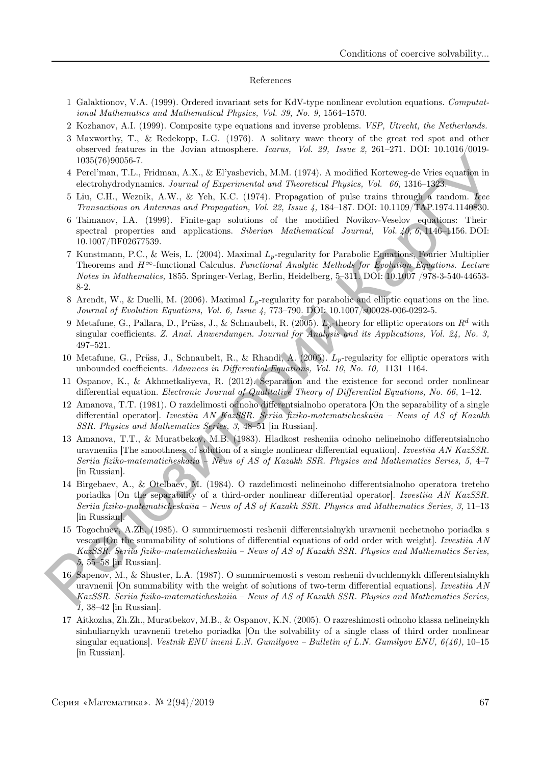#### References

- 1 Galaktionov, V.A. (1999). Ordered invariant sets for KdV-type nonlinear evolution equations. Computational Mathematics and Mathematical Physics, Vol. 39, No. 9, 1564–1570.
- 2 Kozhanov, A.I. (1999). Composite type equations and inverse problems. VSP, Utrecht, the Netherlands.
- 3 Maxworthy, T., & Redekopp, L.G. (1976). A solitary wave theory of the great red spot and other observed features in the Jovian atmosphere. Icarus, Vol. 29, Issue 2, 261–271. DOI: 10.1016/0019- 1035(76)90056-7.
- 4 Perel'man, T.L., Fridman, A.X., & El'yashevich, M.M. (1974). A modified Korteweg-de Vries equation in electrohydrodynamics. Journal of Experimental and Theoretical Physics, Vol. 66, 1316–1323.
- 5 Liu, C.H., Weznik, A.W., & Yeh, K.C. (1974). Propagation of pulse trains through a random. Iеее Transactions on Antennas and Propagation, Vol. 22, Issue 4, 184–187. DOI: 10.1109/TAP.1974.1140830.
- 6 Taimanov, I.A. (1999). Finite-gap solutions of the modified Novikov-Veselov equations: Their spectral properties and applications. Siberian Mathematical Journal, Vol. 40, 6, 1146–1156. DOI: 10.1007/BF02677539.
- 7 Kunstmann, P.C., & Weis, L. (2004). Maximal  $L_p$ -regularity for Parabolic Equations, Fourier Multiplier Theorems and  $H^{\infty}$ -functional Calculus. Functional Analytic Methods for Evolution Equations. Lecture Notes in Mathematics, 1855. Springer-Verlag, Berlin, Heidelberg, 5–311. DOI: 10.1007 /978-3-540-44653- 8-2.
- 8 Arendt, W., & Duelli, M. (2006). Maximal  $L_p$ -regularity for parabolic and elliptic equations on the line. Journal of Evolution Equations, Vol. 6, Issue 4, 773–790. DOI: 10.1007/s00028-006-0292-5.
- 9 Metafune, G., Pallara, D., Prüss, J., & Schnaubelt, R. (2005).  $\bar{L}_p$ -theory for elliptic operators on  $R^d$  with singular coefficients. Z. Anal. Anwendungen. Journal for Analysis and its Applications, Vol. 24, No. 3, 497–521.
- 10 Metafune, G., Prüss, J., Schnaubelt, R., & Rhandi, A. (2005).  $L_p$ -regularity for elliptic operators with unbounded coefficients. Advances in Differential Equations, Vol. 10, No. 10, 1131–1164.
- 11 Ospanov, K., & Akhmetkaliyeva, R. (2012). Separation and the existence for second order nonlinear differential equation. Electronic Journal of Qualitative Theory of Differential Equations, No. 66, 1–12.
- 12 Amanova, T.T. (1981). O razdelimosti odnoho differentsialnoho operatora [On the separability of a single differential operator]. Izvestiia AN KazSSR. Seriia fiziko-matematicheskaiia – News of AS of Kazakh SSR. Physics and Mathematics Series, 3, 48–51 [in Russian].
- 13 Amanova, T.T., & Muratbekov, M.B. (1983). Hladkost resheniia odnoho nelineinoho differentsialnoho uravneniia The smoothness of solution of a single nonlinear differential equation. Izvestiia AN KazSSR. Seriia fiziko-matematicheskaiia – News of AS of Kazakh SSR. Physics and Mathematics Series, 5, 4–7 [in Russian].
- 14 Birgebaev, A., & Otelbaev, M. (1984). O razdelimosti nelineinoho differentsialnoho operatora treteho poriadka [On the separability of a third-order nonlinear differential operator]. Izvestiia AN KazSSR. Seriia fiziko-matematicheskaiia – News of AS of Kazakh SSR. Physics and Mathematics Series, 3, 11–13 [in Russian].
- 15 Togochuev, A.Zh. (1985). O summiruemosti reshenii differentsialnykh uravnenii nechetnoho poriadka s vesom [On the summability of solutions of differential equations of odd order with weight]. Izvestiia AN KazSSR. Seriia fiziko-matematicheskaiia – News of AS of Kazakh SSR. Physics and Mathematics Series, 5, 55–58 [in Russian]. 1003(v8000057.<br>
The Tenderal A.N., & Ellyssberelo, M.M. (1974). A modified Korteweg-de Véres equation in detertation, T.L. Fridman, A.N., & Yel., KG. (1974). Paragoize of glasses, 166 66, 1316 1327.<br>
The C.H., Worsk, A.N
	- 16 Sapenov, M., & Shuster, L.A. (1987). O summiruemosti s vesom reshenii dvuchlennykh differentsialnykh uravnenii [On summability with the weight of solutions of two-term differential equations]. Izvestiia AN KazSSR. Seriia fiziko-matematicheskaiia – News of AS of Kazakh SSR. Physics and Mathematics Series, 1, 38–42 [in Russian].
	- 17 Aitkozha, Zh.Zh., Muratbekov, M.B., & Ospanov, K.N. (2005). O razreshimosti odnoho klassa nelineinykh sinhuliarnykh uravnenii treteho poriadka [On the solvability of a single class of third order nonlinear singular equations]. Vestnik ENU imeni L.N. Gumilyova – Bulletin of L.N. Gumilyov ENU,  $6(46)$ , 10–15 [in Russian].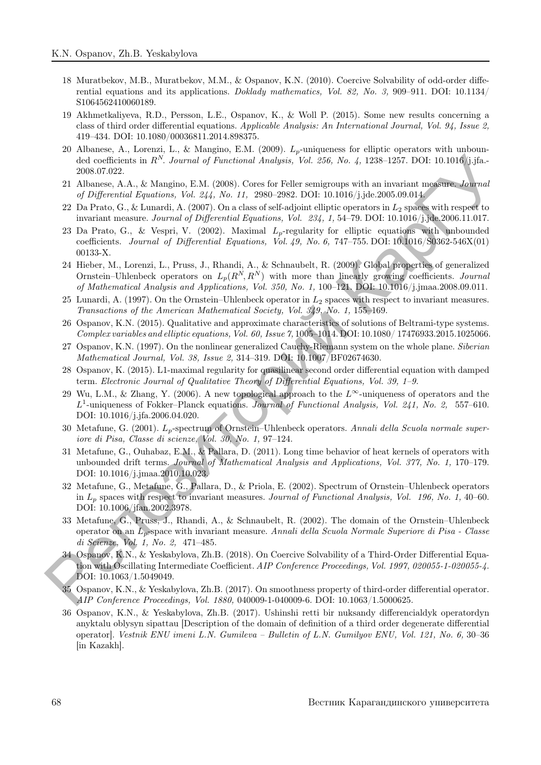- 18 Muratbekov, M.B., Muratbekov, M.M., & Ospanov, K.N. (2010). Coercive Solvability of odd-order differential equations and its applications. Doklady mathematics, Vol. 82, No. 3, 909–911. DOI: 10.1134/ S1064562410060189.
- 19 Akhmetkaliyeva, R.D., Persson, L.E., Ospanov, K., & Woll P. (2015). Some new results concerning a class of third order differential equations. Applicable Analysis: An International Journal, Vol. 94, Issue 2, 419–434. DOI: 10.1080/00036811.2014.898375.
- 20 Albanese, A., Lorenzi, L., & Mangino, E.M. (2009).  $L_p$ -uniqueness for elliptic operators with unbounded coefficients in  $R^N$ . Journal of Functional Analysis, Vol. 256, No. 4, 1238–1257. DOI: 10.1016/j.jfa.-2008.07.022.
- 21 Albanese, A.A., & Mangino, E.M. (2008). Cores for Feller semigroups with an invariant measure. Journal of Differential Equations, Vol. 244, No. 11, 2980–2982. DOI: 10.1016/j.jde.2005.09.014.
- 22 Da Prato, G., & Lunardi, A. (2007). On a class of self-adjoint elliptic operators in  $L_2$  spaces with respect to invariant measure. Journal of Differential Equations, Vol. 234, 1, 54–79. DOI: 10.1016/j.jde.2006.11.017.
- 23 Da Prato, G., & Vespri, V. (2002). Maximal  $L_p$ -regularity for elliptic equations with unbounded coefficients. Journal of Differential Equations, Vol. 49, No. 6, 747–755. DOI:  $10.1016/S0362-546X(01)$ 00133-X. de localitation in R<sup>is</sup>. Journal of Fonctional Analysis, Vol. 268, Vol. 4, 328–1237. DOI: 10.106, 146-224. 21 Altanes, A.A. & Manging (19. 21 Altanes, A.A. A. 226–1237. DOI: 10.007. Hyperchale Feature and the matrix of t
	- 24 Hieber, M., Lorenzi, L., Pruss, J., Rhandi, A., & Schnaubelt, R. (2009). Global properties of generalized Ornstein–Uhlenbeck operators on  $L_p(R^N, R^N)$  with more than linearly growing coefficients. Journal of Mathematical Analysis and Applications, Vol. 350, No. 1, 100–121. DOI: 10.1016/j.jmaa.2008.09.011.
	- 25 Lunardi, A. (1997). On the Ornstein–Uhlenbeck operator in  $L_2$  spaces with respect to invariant measures. Transactions of the American Mathematical Society, Vol. 349, No. 1, 155–169.
	- 26 Ospanov, K.N. (2015). Qualitative and approximate characteristics of solutions of Beltrami-type systems. Complex variables and elliptic equations, Vol. 60, Issue 7, 1005–1014. DOI: 10.1080/ 17476933.2015.1025066.
	- 27 Ospanov, K.N. (1997). On the nonlinear generalized Cauchy-Riemann system on the whole plane. Siberian Mathematical Journal, Vol. 38, Issue 2, 314–319. DOI: 10.1007/BF02674630.
	- 28 Ospanov, K. (2015). L1-maximal regularity for quasilinear second order differential equation with damped term. Electronic Journal of Qualitative Theory of Differential Equations, Vol. 39, 1–9.
	- 29 Wu, L.M., & Zhang, Y. (2006). A new topological approach to the  $L^{\infty}$ -uniqueness of operators and the  $L^1$ -uniqueness of Fokker–Planck equations. Journal of Functional Analysis, Vol. 241, No. 2, 557–610. DOI: 10.1016/j.jfa.2006.04.020.
	- 30 Metafune, G. (2001).  $L_p$ -spectrum of Ornstein–Uhlenbeck operators. Annali della Scuola normale superiore di Pisa, Classe di scienze, Vol. 30, No. 1, 97–124.
	- 31 Metafune, G., Ouhabaz, E.M., & Pallara, D. (2011). Long time behavior of heat kernels of operators with unbounded drift terms. Journal of Mathematical Analysis and Applications, Vol. 377, No. 1, 170–179. DOI: 10.1016/j.jmaa.2010.10.023.
	- 32 Metafune, G., Metafune, G., Pallara, D., & Priola, E. (2002). Spectrum of Ornstein–Uhlenbeck operators in  $L_p$  spaces with respect to invariant measures. Journal of Functional Analysis, Vol. 196, No. 1, 40–60. DOI: 10.1006/jfan.2002.3978.
	- 33 Metafune, G., Pruss, J., Rhandi, A., & Schnaubelt, R. (2002). The domain of the Ornstein–Uhlenbeck operator on an  $L_p$ -space with invariant measure. Annali della Scuola Normale Superiore di Pisa - Classe di Scienze, Vol. 1, No. 2, 471–485.
	- 34 Ospanov, K.N., & Yeskabylova, Zh.B. (2018). On Coercive Solvability of a Third-Order Differential Equation with Oscillating Intermediate Coefficient. AIP Conference Proceedings, Vol. 1997, 020055-1-020055-4. DOI: 10.1063/1.5049049.
	- 35 Ospanov, K.N., & Yeskabylova, Zh.B. (2017). On smoothness property of third-order differential operator. AIP Conference Proceedings, Vol. 1880, 040009-1-040009-6. DOI: 10.1063/1.5000625.
	- 36 Ospanov, K.N., & Yeskabylova, Zh.B. (2017). Ushinshi retti bir nuksandy differencialdyk operatordyn anyktalu oblysyn sipattau [Description of the domain of definition of a third order degenerate differential operator]. Vestnik ENU imeni L.N. Gumileva – Bulletin of L.N. Gumilyov ENU, Vol. 121, No. 6, 30–36 [in Kazakh].